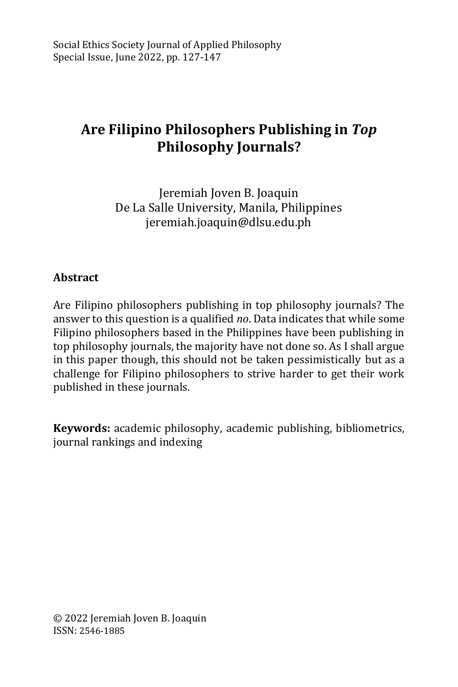# **Are Filipino Philosophers Publishing in** *Top* **Philosophy Journals?**

Jeremiah Joven B. Joaquin De La Salle University, Manila, Philippines [jeremiah.joaquin@dlsu.edu.ph](mailto:jeremiah.joaquin@dlsu.edu.ph)

# **Abstract**

Are Filipino philosophers publishing in top philosophy journals? The answer to this question is a qualified *no*. Data indicates that while some Filipino philosophers based in the Philippines have been publishing in top philosophy journals, the majority have not done so. As I shall argue in this paper though, this should not be taken pessimistically but as a challenge for Filipino philosophers to strive harder to get their work published in these journals.

**Keywords:** academic philosophy, academic publishing, bibliometrics, journal rankings and indexing

© 2022 Jeremiah Joven B. Joaquin ISSN: 2546-1885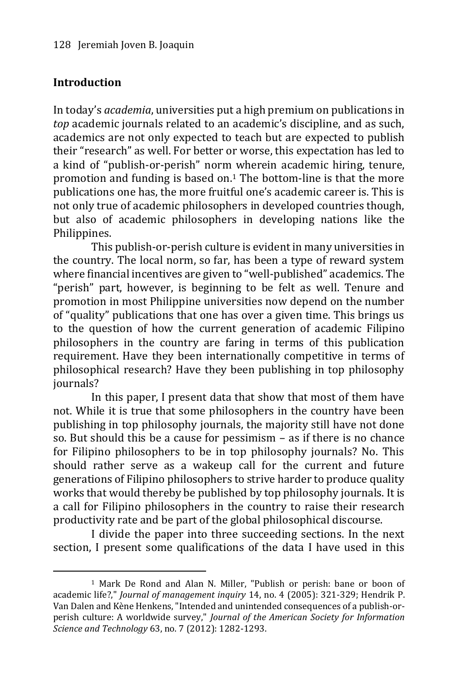## **Introduction**

-

In today's *academia*, universities put a high premium on publications in *top* academic journals related to an academic's discipline, and as such, academics are not only expected to teach but are expected to publish their "research" as well. For better or worse, this expectation has led to a kind of "publish-or-perish" norm wherein academic hiring, tenure, promotion and funding is based on.<sup>1</sup> The bottom-line is that the more publications one has, the more fruitful one's academic career is. This is not only true of academic philosophers in developed countries though, but also of academic philosophers in developing nations like the Philippines.

This publish-or-perish culture is evident in many universities in the country. The local norm, so far, has been a type of reward system where financial incentives are given to "well-published" academics. The "perish" part, however, is beginning to be felt as well. Tenure and promotion in most Philippine universities now depend on the number of "quality" publications that one has over a given time. This brings us to the question of how the current generation of academic Filipino philosophers in the country are faring in terms of this publication requirement. Have they been internationally competitive in terms of philosophical research? Have they been publishing in top philosophy journals?

In this paper, I present data that show that most of them have not. While it is true that some philosophers in the country have been publishing in top philosophy journals, the majority still have not done so. But should this be a cause for pessimism – as if there is no chance for Filipino philosophers to be in top philosophy journals? No. This should rather serve as a wakeup call for the current and future generations of Filipino philosophers to strive harder to produce quality works that would thereby be published by top philosophy journals. It is a call for Filipino philosophers in the country to raise their research productivity rate and be part of the global philosophical discourse.

I divide the paper into three succeeding sections. In the next section, I present some qualifications of the data I have used in this

<sup>1</sup> Mark De Rond and Alan N. Miller, "Publish or perish: bane or boon of academic life?," *Journal of management inquiry* 14, no. 4 (2005): 321-329; Hendrik P. Van Dalen and Kène Henkens, "Intended and unintended consequences of a publish‐or‐ perish culture: A worldwide survey," *Journal of the American Society for Information Science and Technology* 63, no. 7 (2012): 1282-1293.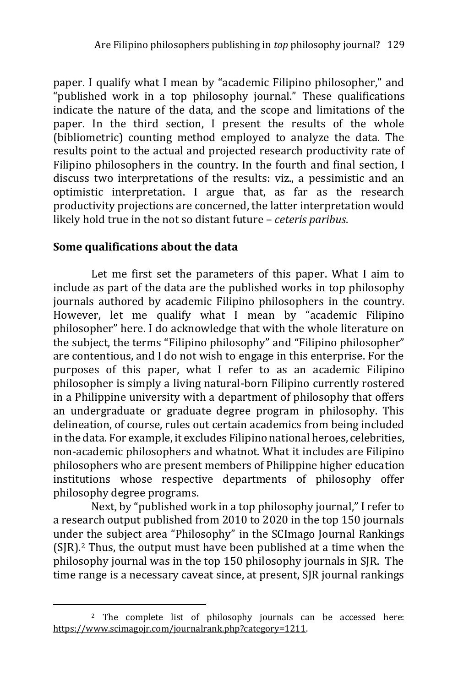paper. I qualify what I mean by "academic Filipino philosopher," and "published work in a top philosophy journal." These qualifications indicate the nature of the data, and the scope and limitations of the paper. In the third section, I present the results of the whole (bibliometric) counting method employed to analyze the data. The results point to the actual and projected research productivity rate of Filipino philosophers in the country. In the fourth and final section, I discuss two interpretations of the results: viz., a pessimistic and an optimistic interpretation. I argue that, as far as the research productivity projections are concerned, the latter interpretation would likely hold true in the not so distant future – *ceteris paribus*.

## **Some qualifications about the data**

-

Let me first set the parameters of this paper. What I aim to include as part of the data are the published works in top philosophy journals authored by academic Filipino philosophers in the country. However, let me qualify what I mean by "academic Filipino philosopher" here. I do acknowledge that with the whole literature on the subject, the terms "Filipino philosophy" and "Filipino philosopher" are contentious, and I do not wish to engage in this enterprise. For the purposes of this paper, what I refer to as an academic Filipino philosopher is simply a living natural-born Filipino currently rostered in a Philippine university with a department of philosophy that offers an undergraduate or graduate degree program in philosophy. This delineation, of course, rules out certain academics from being included in the data. For example, it excludes Filipino national heroes, celebrities, non-academic philosophers and whatnot. What it includes are Filipino philosophers who are present members of Philippine higher education institutions whose respective departments of philosophy offer philosophy degree programs.

Next, by "published work in a top philosophy journal," I refer to a research output published from 2010 to 2020 in the top 150 journals under the subject area "Philosophy" in the SCImago Journal Rankings (SJR).<sup>2</sup> Thus, the output must have been published at a time when the philosophy journal was in the top 150 philosophy journals in SJR. The time range is a necessary caveat since, at present, SJR journal rankings

<sup>2</sup> The complete list of philosophy journals can be accessed here: [https://www.scimagojr.com/journalrank.php?category=1211.](https://www.scimagojr.com/journalrank.php?category=1211)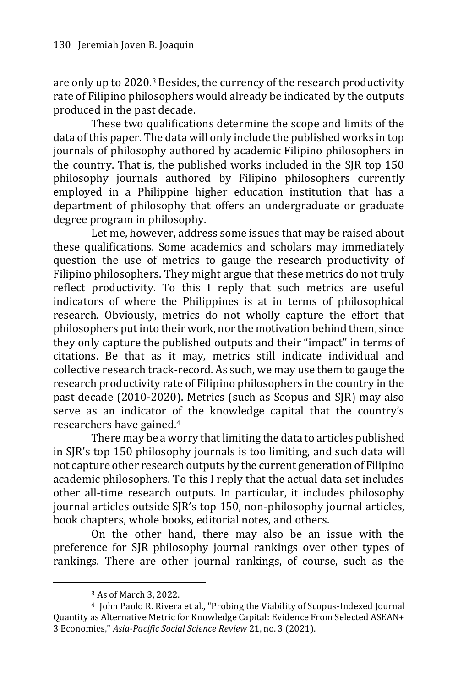are only up to 2020.<sup>3</sup> Besides, the currency of the research productivity rate of Filipino philosophers would already be indicated by the outputs produced in the past decade.

These two qualifications determine the scope and limits of the data of this paper. The data will only include the published works in top journals of philosophy authored by academic Filipino philosophers in the country. That is, the published works included in the SJR top 150 philosophy journals authored by Filipino philosophers currently employed in a Philippine higher education institution that has a department of philosophy that offers an undergraduate or graduate degree program in philosophy.

Let me, however, address some issues that may be raised about these qualifications. Some academics and scholars may immediately question the use of metrics to gauge the research productivity of Filipino philosophers. They might argue that these metrics do not truly reflect productivity. To this I reply that such metrics are useful indicators of where the Philippines is at in terms of philosophical research. Obviously, metrics do not wholly capture the effort that philosophers put into their work, nor the motivation behind them, since they only capture the published outputs and their "impact" in terms of citations. Be that as it may, metrics still indicate individual and collective research track-record. As such, we may use them to gauge the research productivity rate of Filipino philosophers in the country in the past decade (2010-2020). Metrics (such as Scopus and SJR) may also serve as an indicator of the knowledge capital that the country's researchers have gained.<sup>4</sup>

There may be a worry that limiting the data to articles published in SJR's top 150 philosophy journals is too limiting, and such data will not capture other research outputs by the current generation of Filipino academic philosophers. To this I reply that the actual data set includes other all-time research outputs. In particular, it includes philosophy journal articles outside SJR's top 150, non-philosophy journal articles, book chapters, whole books, editorial notes, and others.

On the other hand, there may also be an issue with the preference for SJR philosophy journal rankings over other types of rankings. There are other journal rankings, of course, such as the

<sup>3</sup> As of March 3, 2022.

<sup>4</sup> John Paolo R. Rivera et al., "Probing the Viability of Scopus-Indexed Journal Quantity as Alternative Metric for Knowledge Capital: Evidence From Selected ASEAN+ 3 Economies," *Asia-Pacific Social Science Review* 21, no. 3 (2021).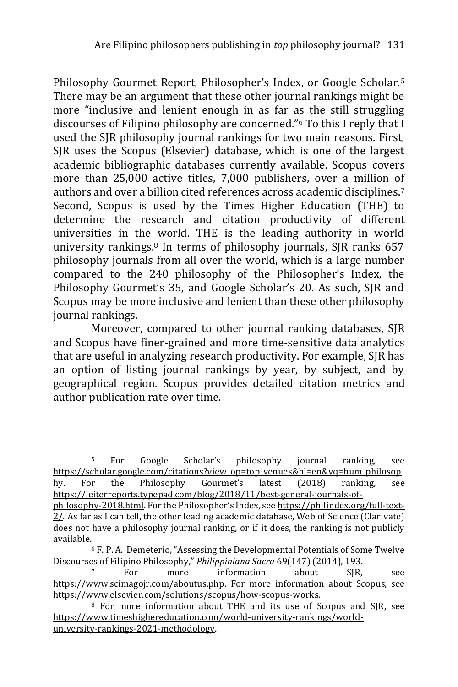Philosophy Gourmet Report, Philosopher's Index, or Google Scholar.<sup>5</sup> There may be an argument that these other journal rankings might be more "inclusive and lenient enough in as far as the still struggling discourses of Filipino philosophy are concerned."<sup>6</sup> To this I reply that I used the SJR philosophy journal rankings for two main reasons. First, SJR uses the Scopus (Elsevier) database, which is one of the largest academic bibliographic databases currently available. Scopus covers more than 25,000 active titles, 7,000 publishers, over a million of authors and over a billion cited references across academic disciplines.<sup>7</sup> Second, Scopus is used by the Times Higher Education (THE) to determine the research and citation productivity of different universities in the world. THE is the leading authority in world university rankings.<sup>8</sup> In terms of philosophy journals, SJR ranks 657 philosophy journals from all over the world, which is a large number compared to the 240 philosophy of the Philosopher's Index, the Philosophy Gourmet's 35, and Google Scholar's 20. As such, SJR and Scopus may be more inclusive and lenient than these other philosophy journal rankings.

Moreover, compared to other journal ranking databases, SJR and Scopus have finer-grained and more time-sensitive data analytics that are useful in analyzing research productivity. For example, SJR has an option of listing journal rankings by year, by subject, and by geographical region. Scopus provides detailed citation metrics and author publication rate over time.

<sup>5</sup> For Google Scholar's philosophy journal ranking, see [https://scholar.google.com/citations?view\\_op=top\\_venues&hl=en&vq=hum\\_philosop](https://scholar.google.com/citations?view_op=top_venues&hl=en&vq=hum_philosophy) [hy](https://scholar.google.com/citations?view_op=top_venues&hl=en&vq=hum_philosophy). For the Philosophy Gourmet's latest (2018) ranking, see [https://leiterreports.typepad.com/blog/2018/11/best-general-journals-of-](https://leiterreports.typepad.com/blog/2018/11/best-general-journals-of-philosophy-2018.html)

[philosophy-2018.html](https://leiterreports.typepad.com/blog/2018/11/best-general-journals-of-philosophy-2018.html). For the Philosopher's Index, see [https://philindex.org/full-text-](https://philindex.org/full-text-2/)[2/.](https://philindex.org/full-text-2/) As far as I can tell, the other leading academic database, Web of Science (Clarivate) does not have a philosophy journal ranking, or if it does, the ranking is not publicly available.

<sup>6</sup> F. P. A. Demeterio, "Assessing the Developmental Potentials of Some Twelve Discourses of Filipino Philosophy," *Philippiniana Sacra* 69(147) (2014), 193.

For more information about SIR, see [https://www.scimagojr.com/aboutus.php.](https://www.scimagojr.com/aboutus.php) For more information about Scopus, see https://www.elsevier.com/solutions/scopus/how-scopus-works.

<sup>8</sup> For more information about THE and its use of Scopus and SJR, see [https://www.timeshighereducation.com/world-university-rankings/world](https://www.timeshighereducation.com/world-university-rankings/world-university-rankings-2021-methodology)[university-rankings-2021-methodology.](https://www.timeshighereducation.com/world-university-rankings/world-university-rankings-2021-methodology)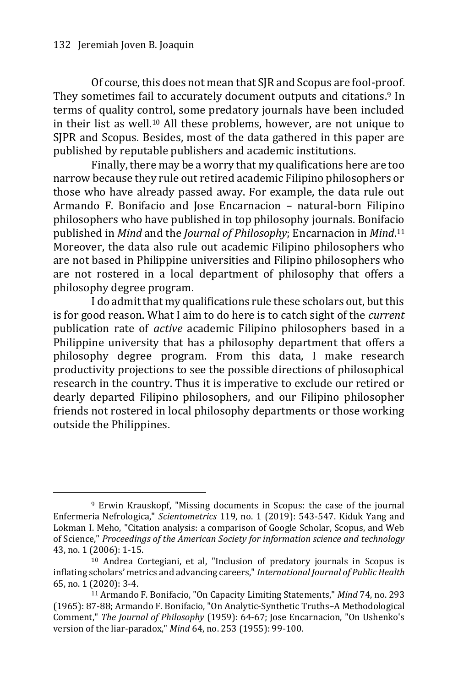-

Of course, this does not mean that SJR and Scopus are fool-proof. They sometimes fail to accurately document outputs and citations.<sup>9</sup> In terms of quality control, some predatory journals have been included in their list as well.<sup>10</sup> All these problems, however, are not unique to SJPR and Scopus. Besides, most of the data gathered in this paper are published by reputable publishers and academic institutions.

Finally, there may be a worry that my qualifications here are too narrow because they rule out retired academic Filipino philosophers or those who have already passed away. For example, the data rule out Armando F. Bonifacio and Jose Encarnacion – natural-born Filipino philosophers who have published in top philosophy journals. Bonifacio published in *Mind* and the *Journal of Philosophy*; Encarnacion in *Mind*. 11 Moreover, the data also rule out academic Filipino philosophers who are not based in Philippine universities and Filipino philosophers who are not rostered in a local department of philosophy that offers a philosophy degree program.

I do admit that my qualifications rule these scholars out, but this is for good reason. What I aim to do here is to catch sight of the *current* publication rate of *active* academic Filipino philosophers based in a Philippine university that has a philosophy department that offers a philosophy degree program. From this data, I make research productivity projections to see the possible directions of philosophical research in the country. Thus it is imperative to exclude our retired or dearly departed Filipino philosophers, and our Filipino philosopher friends not rostered in local philosophy departments or those working outside the Philippines.

<sup>9</sup> Erwin Krauskopf, "Missing documents in Scopus: the case of the journal Enfermeria Nefrologica," *Scientometrics* 119, no. 1 (2019): 543-547. Kiduk Yang and Lokman I. Meho, "Citation analysis: a comparison of Google Scholar, Scopus, and Web of Science," *Proceedings of the American Society for information science and technology* 43, no. 1 (2006): 1-15.

<sup>10</sup> Andrea Cortegiani, et al, "Inclusion of predatory journals in Scopus is inflating scholars' metrics and advancing careers," *International Journal of Public Health* 65, no. 1 (2020): 3-4.

<sup>11</sup> Armando F. Bonifacio, "On Capacity Limiting Statements," *Mind* 74, no. 293 (1965): 87-88; Armando F. Bonifacio, "On Analytic-Synthetic Truths–A Methodological Comment," *The Journal of Philosophy* (1959): 64-67; Jose Encarnacion, "On Ushenko's version of the liar-paradox," *Mind* 64, no. 253 (1955): 99-100.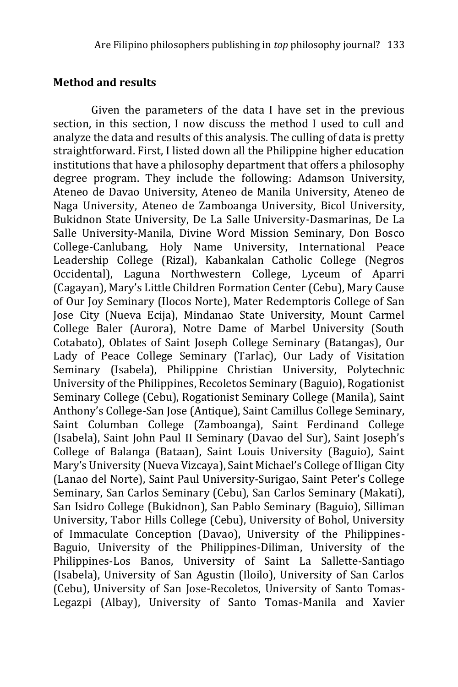#### **Method and results**

Given the parameters of the data I have set in the previous section, in this section, I now discuss the method I used to cull and analyze the data and results of this analysis. The culling of data is pretty straightforward. First, I listed down all the Philippine higher education institutions that have a philosophy department that offers a philosophy degree program. They include the following: Adamson University, Ateneo de Davao University, Ateneo de Manila University, Ateneo de Naga University, Ateneo de Zamboanga University, Bicol University, Bukidnon State University, De La Salle University-Dasmarinas, De La Salle University-Manila, Divine Word Mission Seminary, Don Bosco College-Canlubang, Holy Name University, International Peace Leadership College (Rizal), Kabankalan Catholic College (Negros Occidental), Laguna Northwestern College, Lyceum of Aparri (Cagayan), Mary's Little Children Formation Center (Cebu), Mary Cause of Our Joy Seminary (Ilocos Norte), Mater Redemptoris College of San Jose City (Nueva Ecija), Mindanao State University, Mount Carmel College Baler (Aurora), Notre Dame of Marbel University (South Cotabato), Oblates of Saint Joseph College Seminary (Batangas), Our Lady of Peace College Seminary (Tarlac), Our Lady of Visitation Seminary (Isabela), Philippine Christian University, Polytechnic University of the Philippines, Recoletos Seminary (Baguio), Rogationist Seminary College (Cebu), Rogationist Seminary College (Manila), Saint Anthony's College-San Jose (Antique), Saint Camillus College Seminary, Saint Columban College (Zamboanga), Saint Ferdinand College (Isabela), Saint John Paul II Seminary (Davao del Sur), Saint Joseph's College of Balanga (Bataan), Saint Louis University (Baguio), Saint Mary's University (Nueva Vizcaya), Saint Michael's College of Iligan City (Lanao del Norte), Saint Paul University-Surigao, Saint Peter's College Seminary, San Carlos Seminary (Cebu), San Carlos Seminary (Makati), San Isidro College (Bukidnon), San Pablo Seminary (Baguio), Silliman University, Tabor Hills College (Cebu), University of Bohol, University of Immaculate Conception (Davao), University of the Philippines-Baguio, University of the Philippines-Diliman, University of the Philippines-Los Banos, University of Saint La Sallette-Santiago (Isabela), University of San Agustin (Iloilo), University of San Carlos (Cebu), University of San Jose-Recoletos, University of Santo Tomas-Legazpi (Albay), University of Santo Tomas-Manila and Xavier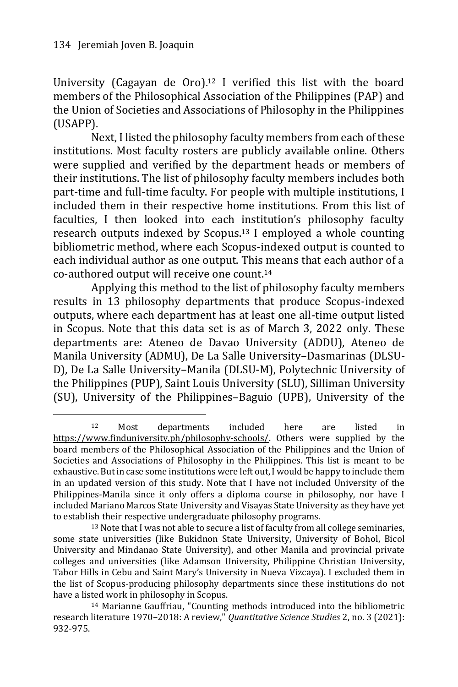-

University (Cagayan de Oro).<sup>12</sup> I verified this list with the board members of the Philosophical Association of the Philippines (PAP) and the Union of Societies and Associations of Philosophy in the Philippines (USAPP).

Next, I listed the philosophy faculty members from each of these institutions. Most faculty rosters are publicly available online. Others were supplied and verified by the department heads or members of their institutions. The list of philosophy faculty members includes both part-time and full-time faculty. For people with multiple institutions, I included them in their respective home institutions. From this list of faculties, I then looked into each institution's philosophy faculty research outputs indexed by Scopus.<sup>13</sup> I employed a whole counting bibliometric method, where each Scopus-indexed output is counted to each individual author as one output. This means that each author of a co-authored output will receive one count.<sup>14</sup>

Applying this method to the list of philosophy faculty members results in 13 philosophy departments that produce Scopus-indexed outputs, where each department has at least one all-time output listed in Scopus. Note that this data set is as of March 3, 2022 only. These departments are: Ateneo de Davao University (ADDU), Ateneo de Manila University (ADMU), De La Salle University–Dasmarinas (DLSU-D), De La Salle University–Manila (DLSU-M), Polytechnic University of the Philippines (PUP), Saint Louis University (SLU), Silliman University (SU), University of the Philippines–Baguio (UPB), University of the

<sup>12</sup> Most departments included here are listed in [https://www.finduniversity.ph/philosophy-schools/.](https://www.finduniversity.ph/philosophy-schools/) Others were supplied by the board members of the Philosophical Association of the Philippines and the Union of Societies and Associations of Philosophy in the Philippines. This list is meant to be exhaustive. But in case some institutions were left out, I would be happy to include them in an updated version of this study. Note that I have not included University of the Philippines-Manila since it only offers a diploma course in philosophy, nor have I included Mariano Marcos State University and Visayas State University as they have yet to establish their respective undergraduate philosophy programs.

<sup>13</sup> Note that I was not able to secure a list of faculty from all college seminaries, some state universities (like Bukidnon State University, University of Bohol, Bicol University and Mindanao State University), and other Manila and provincial private colleges and universities (like Adamson University, Philippine Christian University, Tabor Hills in Cebu and Saint Mary's University in Nueva Vizcaya). I excluded them in the list of Scopus-producing philosophy departments since these institutions do not have a listed work in philosophy in Scopus.

<sup>14</sup> Marianne Gauffriau, "Counting methods introduced into the bibliometric research literature 1970–2018: A review," *Quantitative Science Studies* 2, no. 3 (2021): 932-975.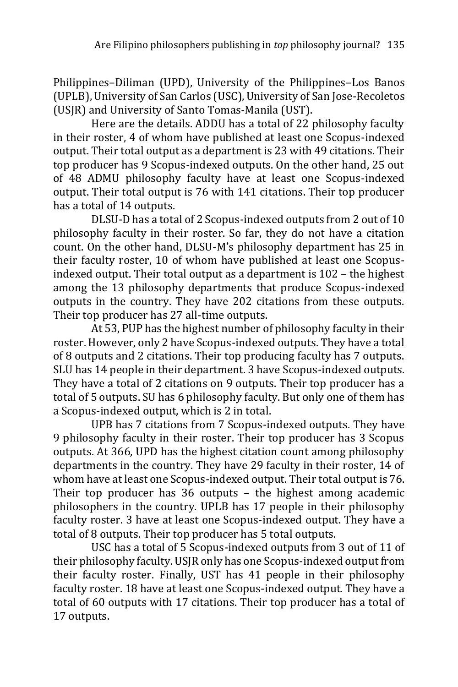Philippines–Diliman (UPD), University of the Philippines–Los Banos (UPLB), University of San Carlos (USC), University of San Jose-Recoletos (USJR) and University of Santo Tomas-Manila (UST).

Here are the details. ADDU has a total of 22 philosophy faculty in their roster, 4 of whom have published at least one Scopus-indexed output. Their total output as a department is 23 with 49 citations. Their top producer has 9 Scopus-indexed outputs. On the other hand, 25 out of 48 ADMU philosophy faculty have at least one Scopus-indexed output. Their total output is 76 with 141 citations. Their top producer has a total of 14 outputs.

DLSU-D has a total of 2 Scopus-indexed outputs from 2 out of 10 philosophy faculty in their roster. So far, they do not have a citation count. On the other hand, DLSU-M's philosophy department has 25 in their faculty roster, 10 of whom have published at least one Scopusindexed output. Their total output as a department is 102 – the highest among the 13 philosophy departments that produce Scopus-indexed outputs in the country. They have 202 citations from these outputs. Their top producer has 27 all-time outputs.

At 53, PUP has the highest number of philosophy faculty in their roster. However, only 2 have Scopus-indexed outputs. They have a total of 8 outputs and 2 citations. Their top producing faculty has 7 outputs. SLU has 14 people in their department. 3 have Scopus-indexed outputs. They have a total of 2 citations on 9 outputs. Their top producer has a total of 5 outputs. SU has 6 philosophy faculty. But only one of them has a Scopus-indexed output, which is 2 in total.

UPB has 7 citations from 7 Scopus-indexed outputs. They have 9 philosophy faculty in their roster. Their top producer has 3 Scopus outputs. At 366, UPD has the highest citation count among philosophy departments in the country. They have 29 faculty in their roster, 14 of whom have at least one Scopus-indexed output. Their total output is 76. Their top producer has 36 outputs – the highest among academic philosophers in the country. UPLB has 17 people in their philosophy faculty roster. 3 have at least one Scopus-indexed output. They have a total of 8 outputs. Their top producer has 5 total outputs.

USC has a total of 5 Scopus-indexed outputs from 3 out of 11 of their philosophy faculty. USJR only has one Scopus-indexed output from their faculty roster. Finally, UST has 41 people in their philosophy faculty roster. 18 have at least one Scopus-indexed output. They have a total of 60 outputs with 17 citations. Their top producer has a total of 17 outputs.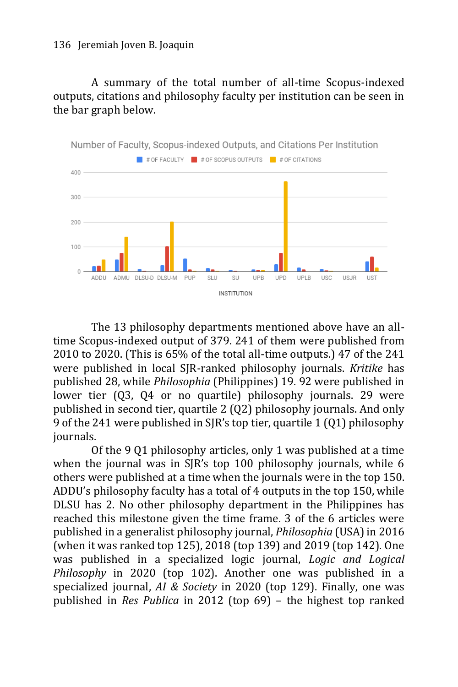A summary of the total number of all-time Scopus-indexed outputs, citations and philosophy faculty per institution can be seen in the bar graph below.



The 13 philosophy departments mentioned above have an alltime Scopus-indexed output of 379. 241 of them were published from 2010 to 2020. (This is 65% of the total all-time outputs.) 47 of the 241 were published in local SJR-ranked philosophy journals. *Kritike* has published 28, while *Philosophia* (Philippines) 19. 92 were published in lower tier (Q3, Q4 or no quartile) philosophy journals. 29 were published in second tier, quartile 2 (Q2) philosophy journals. And only 9 of the 241 were published in SJR's top tier, quartile 1 (Q1) philosophy journals.

Of the 9 Q1 philosophy articles, only 1 was published at a time when the journal was in SJR's top 100 philosophy journals, while 6 others were published at a time when the journals were in the top 150. ADDU's philosophy faculty has a total of 4 outputs in the top 150, while DLSU has 2. No other philosophy department in the Philippines has reached this milestone given the time frame. 3 of the 6 articles were published in a generalist philosophy journal, *Philosophia* (USA) in 2016 (when it was ranked top 125), 2018 (top 139) and 2019 (top 142). One was published in a specialized logic journal, *Logic and Logical Philosophy* in 2020 (top 102). Another one was published in a specialized journal, *AI & Society* in 2020 (top 129). Finally, one was published in *Res Publica* in 2012 (top 69) – the highest top ranked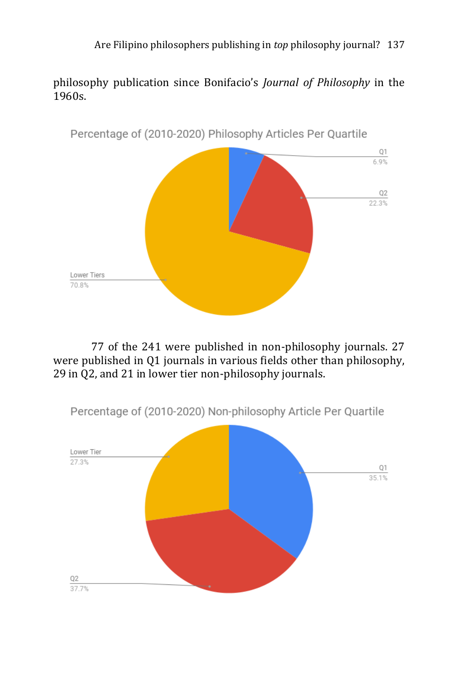philosophy publication since Bonifacio's *Journal of Philosophy* in the 1960s.



77 of the 241 were published in non-philosophy journals. 27 were published in Q1 journals in various fields other than philosophy, 29 in Q2, and 21 in lower tier non-philosophy journals.

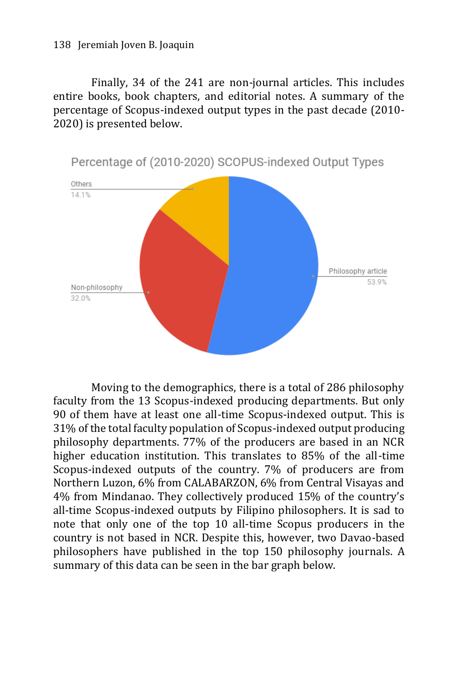Finally, 34 of the 241 are non-journal articles. This includes entire books, book chapters, and editorial notes. A summary of the percentage of Scopus-indexed output types in the past decade (2010- 2020) is presented below.



Moving to the demographics, there is a total of 286 philosophy faculty from the 13 Scopus-indexed producing departments. But only 90 of them have at least one all-time Scopus-indexed output. This is 31% of the total faculty population of Scopus-indexed output producing philosophy departments. 77% of the producers are based in an NCR higher education institution. This translates to 85% of the all-time Scopus-indexed outputs of the country. 7% of producers are from Northern Luzon, 6% from CALABARZON, 6% from Central Visayas and 4% from Mindanao. They collectively produced 15% of the country's all-time Scopus-indexed outputs by Filipino philosophers. It is sad to note that only one of the top 10 all-time Scopus producers in the country is not based in NCR. Despite this, however, two Davao-based philosophers have published in the top 150 philosophy journals. A summary of this data can be seen in the bar graph below.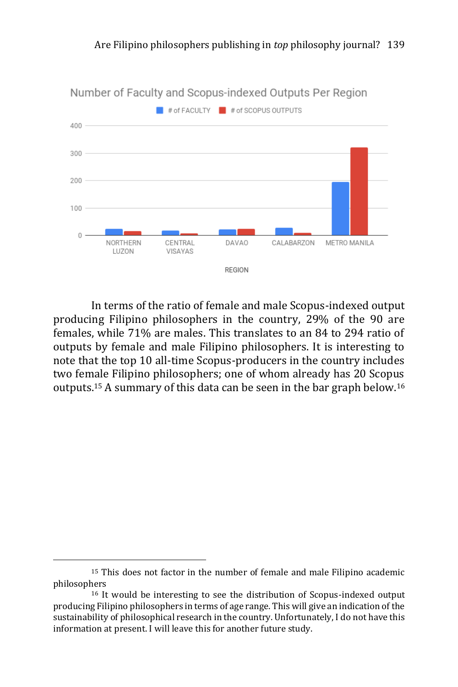

In terms of the ratio of female and male Scopus-indexed output producing Filipino philosophers in the country, 29% of the 90 are females, while 71% are males. This translates to an 84 to 294 ratio of outputs by female and male Filipino philosophers. It is interesting to note that the top 10 all-time Scopus-producers in the country includes two female Filipino philosophers; one of whom already has 20 Scopus outputs.<sup>15</sup> A summary of this data can be seen in the bar graph below.<sup>16</sup>

<sup>15</sup> This does not factor in the number of female and male Filipino academic philosophers

<sup>16</sup> It would be interesting to see the distribution of Scopus-indexed output producing Filipino philosophers in terms of age range. This will give an indication of the sustainability of philosophical research in the country. Unfortunately, I do not have this information at present. I will leave this for another future study.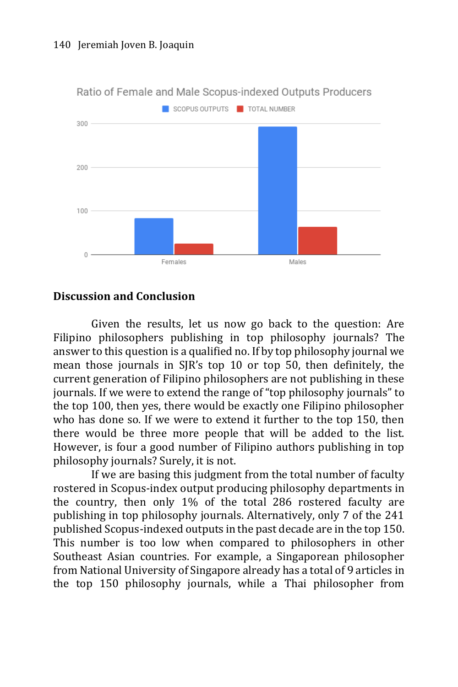

Ratio of Female and Male Scopus-indexed Outputs Producers

#### **Discussion and Conclusion**

Given the results, let us now go back to the question: Are Filipino philosophers publishing in top philosophy journals? The answer to this question is a qualified no. If by top philosophy journal we mean those journals in SJR's top 10 or top 50, then definitely, the current generation of Filipino philosophers are not publishing in these journals. If we were to extend the range of "top philosophy journals" to the top 100, then yes, there would be exactly one Filipino philosopher who has done so. If we were to extend it further to the top 150, then there would be three more people that will be added to the list. However, is four a good number of Filipino authors publishing in top philosophy journals? Surely, it is not.

If we are basing this judgment from the total number of faculty rostered in Scopus-index output producing philosophy departments in the country, then only 1% of the total 286 rostered faculty are publishing in top philosophy journals. Alternatively, only 7 of the 241 published Scopus-indexed outputs in the past decade are in the top 150. This number is too low when compared to philosophers in other Southeast Asian countries. For example, a Singaporean philosopher from National University of Singapore already has a total of 9 articles in the top 150 philosophy journals, while a Thai philosopher from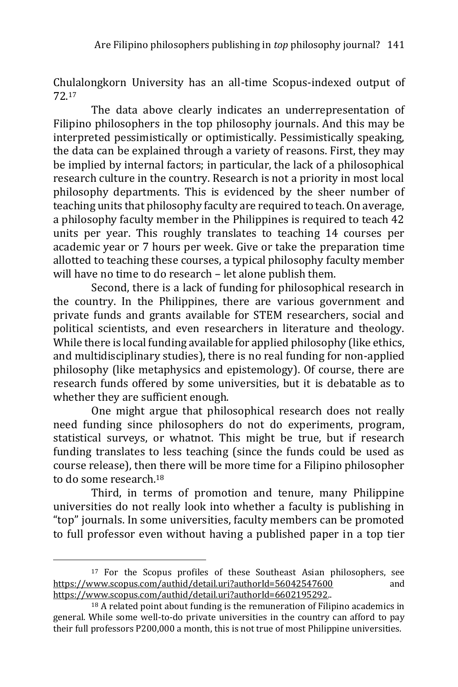Chulalongkorn University has an all-time Scopus-indexed output of 72.<sup>17</sup>

The data above clearly indicates an underrepresentation of Filipino philosophers in the top philosophy journals. And this may be interpreted pessimistically or optimistically. Pessimistically speaking, the data can be explained through a variety of reasons. First, they may be implied by internal factors; in particular, the lack of a philosophical research culture in the country. Research is not a priority in most local philosophy departments. This is evidenced by the sheer number of teaching units that philosophy faculty are required to teach. On average, a philosophy faculty member in the Philippines is required to teach 42 units per year. This roughly translates to teaching 14 courses per academic year or 7 hours per week. Give or take the preparation time allotted to teaching these courses, a typical philosophy faculty member will have no time to do research – let alone publish them.

Second, there is a lack of funding for philosophical research in the country. In the Philippines, there are various government and private funds and grants available for STEM researchers, social and political scientists, and even researchers in literature and theology. While there is local funding available for applied philosophy (like ethics, and multidisciplinary studies), there is no real funding for non-applied philosophy (like metaphysics and epistemology). Of course, there are research funds offered by some universities, but it is debatable as to whether they are sufficient enough.

One might argue that philosophical research does not really need funding since philosophers do not do experiments, program, statistical surveys, or whatnot. This might be true, but if research funding translates to less teaching (since the funds could be used as course release), then there will be more time for a Filipino philosopher to do some research.<sup>18</sup>

Third, in terms of promotion and tenure, many Philippine universities do not really look into whether a faculty is publishing in "top" journals. In some universities, faculty members can be promoted to full professor even without having a published paper in a top tier

<sup>&</sup>lt;sup>17</sup> For the Scopus profiles of these Southeast Asian philosophers, see <https://www.scopus.com/authid/detail.uri?authorId=56042547600> and [https://www.scopus.com/authid/detail.uri?authorId=6602195292..](https://www.scopus.com/authid/detail.uri?authorId=6602195292)

<sup>18</sup> A related point about funding is the remuneration of Filipino academics in general. While some well-to-do private universities in the country can afford to pay their full professors P200,000 a month, this is not true of most Philippine universities.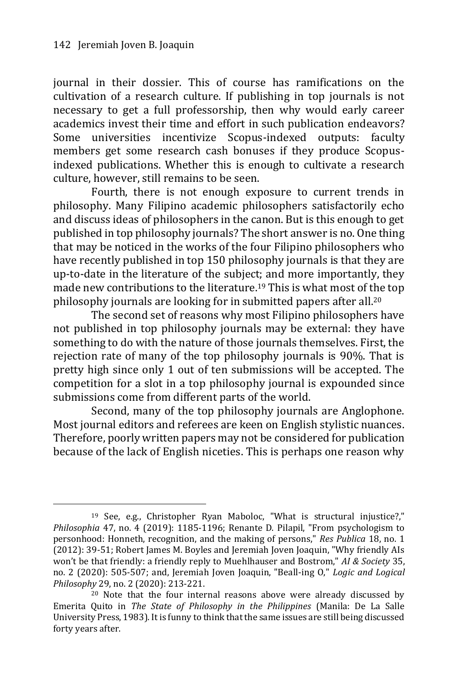-

journal in their dossier. This of course has ramifications on the cultivation of a research culture. If publishing in top journals is not necessary to get a full professorship, then why would early career academics invest their time and effort in such publication endeavors? Some universities incentivize Scopus-indexed outputs: faculty members get some research cash bonuses if they produce Scopusindexed publications. Whether this is enough to cultivate a research culture, however, still remains to be seen.

Fourth, there is not enough exposure to current trends in philosophy. Many Filipino academic philosophers satisfactorily echo and discuss ideas of philosophers in the canon. But is this enough to get published in top philosophy journals? The short answer is no. One thing that may be noticed in the works of the four Filipino philosophers who have recently published in top 150 philosophy journals is that they are up-to-date in the literature of the subject; and more importantly, they made new contributions to the literature.<sup>19</sup> This is what most of the top philosophy journals are looking for in submitted papers after all.<sup>20</sup>

The second set of reasons why most Filipino philosophers have not published in top philosophy journals may be external: they have something to do with the nature of those journals themselves. First, the rejection rate of many of the top philosophy journals is 90%. That is pretty high since only 1 out of ten submissions will be accepted. The competition for a slot in a top philosophy journal is expounded since submissions come from different parts of the world.

Second, many of the top philosophy journals are Anglophone. Most journal editors and referees are keen on English stylistic nuances. Therefore, poorly written papers may not be considered for publication because of the lack of English niceties. This is perhaps one reason why

<sup>19</sup> See, e.g., Christopher Ryan Maboloc, "What is structural injustice?," *Philosophia* 47, no. 4 (2019): 1185-1196; Renante D. Pilapil, "From psychologism to personhood: Honneth, recognition, and the making of persons," *Res Publica* 18, no. 1 (2012): 39-51; Robert James M. Boyles and Jeremiah Joven Joaquin, "Why friendly AIs won't be that friendly: a friendly reply to Muehlhauser and Bostrom," *AI & Society* 35, no. 2 (2020): 505-507; and, Jeremiah Joven Joaquin, "Beall-ing O," *Logic and Logical Philosophy* 29, no. 2 (2020): 213-221.

<sup>20</sup> Note that the four internal reasons above were already discussed by Emerita Quito in *The State of Philosophy in the Philippines* (Manila: De La Salle University Press, 1983). It is funny to think that the same issues are still being discussed forty years after.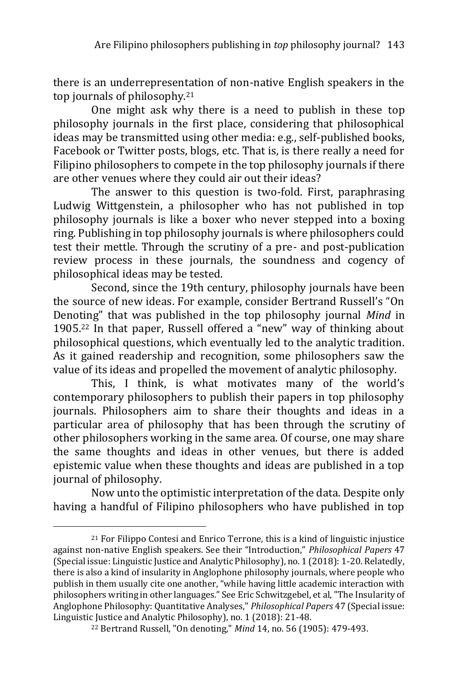there is an underrepresentation of non-native English speakers in the top journals of philosophy.<sup>21</sup>

One might ask why there is a need to publish in these top philosophy journals in the first place, considering that philosophical ideas may be transmitted using other media: e.g., self-published books, Facebook or Twitter posts, blogs, etc. That is, is there really a need for Filipino philosophers to compete in the top philosophy journals if there are other venues where they could air out their ideas?

The answer to this question is two-fold. First, paraphrasing Ludwig Wittgenstein, a philosopher who has not published in top philosophy journals is like a boxer who never stepped into a boxing ring. Publishing in top philosophy journals is where philosophers could test their mettle. Through the scrutiny of a pre- and post-publication review process in these journals, the soundness and cogency of philosophical ideas may be tested.

Second, since the 19th century, philosophy journals have been the source of new ideas. For example, consider Bertrand Russell's "On Denoting" that was published in the top philosophy journal *Mind* in 1905.<sup>22</sup> In that paper, Russell offered a "new" way of thinking about philosophical questions, which eventually led to the analytic tradition. As it gained readership and recognition, some philosophers saw the value of its ideas and propelled the movement of analytic philosophy.

This, I think, is what motivates many of the world's contemporary philosophers to publish their papers in top philosophy journals. Philosophers aim to share their thoughts and ideas in a particular area of philosophy that has been through the scrutiny of other philosophers working in the same area. Of course, one may share the same thoughts and ideas in other venues, but there is added epistemic value when these thoughts and ideas are published in a top journal of philosophy.

Now unto the optimistic interpretation of the data. Despite only having a handful of Filipino philosophers who have published in top

 $21$  For Filippo Contesi and Enrico Terrone, this is a kind of linguistic injustice against non-native English speakers. See their "Introduction," *Philosophical Papers* 47 (Special issue: Linguistic Justice and Analytic Philosophy), no. 1 (2018): 1-20. Relatedly, there is also a kind of insularity in Anglophone philosophy journals, where people who publish in them usually cite one another, "while having little academic interaction with philosophers writing in other languages." See Eric Schwitzgebel, et al, "The Insularity of Anglophone Philosophy: Quantitative Analyses," *Philosophical Papers* 47 (Special issue: Linguistic Justice and Analytic Philosophy), no. 1 (2018): 21-48.

<sup>22</sup> Bertrand Russell, "On denoting," *Mind* 14, no. 56 (1905): 479-493.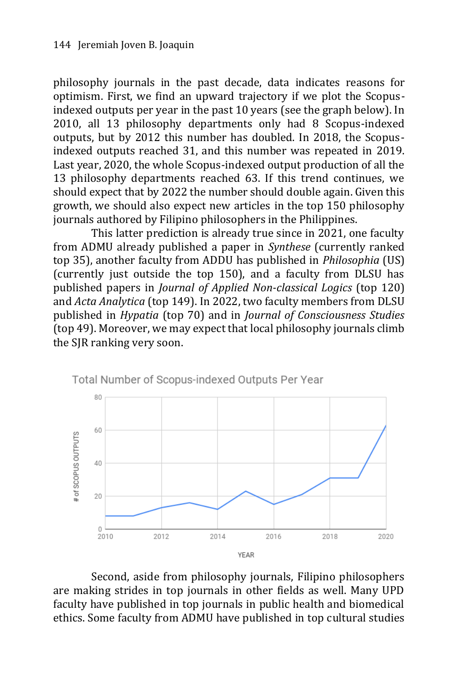philosophy journals in the past decade, data indicates reasons for optimism. First, we find an upward trajectory if we plot the Scopusindexed outputs per year in the past 10 years (see the graph below). In 2010, all 13 philosophy departments only had 8 Scopus-indexed outputs, but by 2012 this number has doubled. In 2018, the Scopusindexed outputs reached 31, and this number was repeated in 2019. Last year, 2020, the whole Scopus-indexed output production of all the 13 philosophy departments reached 63. If this trend continues, we should expect that by 2022 the number should double again. Given this growth, we should also expect new articles in the top 150 philosophy journals authored by Filipino philosophers in the Philippines.

This latter prediction is already true since in 2021, one faculty from ADMU already published a paper in *Synthese* (currently ranked top 35), another faculty from ADDU has published in *Philosophia* (US) (currently just outside the top 150), and a faculty from DLSU has published papers in *Journal of Applied Non-classical Logics* (top 120) and *Acta Analytica* (top 149). In 2022, two faculty members from DLSU published in *Hypatia* (top 70) and in *Journal of Consciousness Studies* (top 49). Moreover, we may expect that local philosophy journals climb the SJR ranking very soon.



Total Number of Scopus-indexed Outputs Per Year

Second, aside from philosophy journals, Filipino philosophers are making strides in top journals in other fields as well. Many UPD faculty have published in top journals in public health and biomedical ethics. Some faculty from ADMU have published in top cultural studies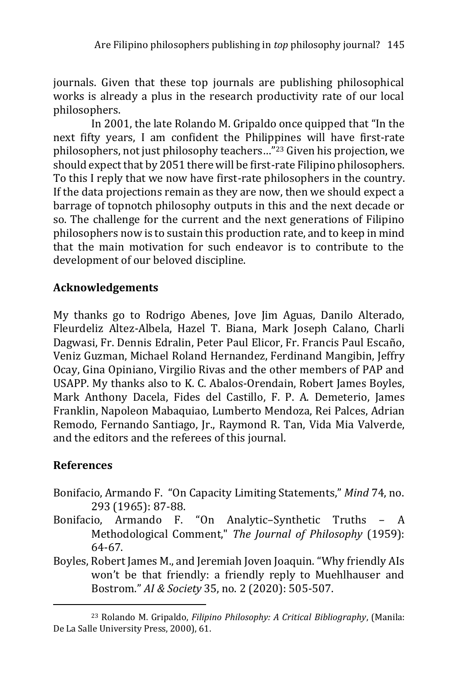journals. Given that these top journals are publishing philosophical works is already a plus in the research productivity rate of our local philosophers.

In 2001, the late Rolando M. Gripaldo once quipped that "In the next fifty years, I am confident the Philippines will have first-rate philosophers, not just philosophy teachers…"<sup>23</sup> Given his projection, we should expect that by 2051 there will be first-rate Filipino philosophers. To this I reply that we now have first-rate philosophers in the country. If the data projections remain as they are now, then we should expect a barrage of topnotch philosophy outputs in this and the next decade or so. The challenge for the current and the next generations of Filipino philosophers now is to sustain this production rate, and to keep in mind that the main motivation for such endeavor is to contribute to the development of our beloved discipline.

# **Acknowledgements**

My thanks go to Rodrigo Abenes, Jove Jim Aguas, Danilo Alterado, Fleurdeliz Altez-Albela, Hazel T. Biana, Mark Joseph Calano, Charli Dagwasi, Fr. Dennis Edralin, Peter Paul Elicor, Fr. Francis Paul Escaño, Veniz Guzman, Michael Roland Hernandez, Ferdinand Mangibin, Jeffry Ocay, Gina Opiniano, Virgilio Rivas and the other members of PAP and USAPP. My thanks also to K. C. Abalos-Orendain, Robert James Boyles, Mark Anthony Dacela, Fides del Castillo, F. P. A. Demeterio, James Franklin, Napoleon Mabaquiao, Lumberto Mendoza, Rei Palces, Adrian Remodo, Fernando Santiago, Jr., Raymond R. Tan, Vida Mia Valverde, and the editors and the referees of this journal.

## **References**

- Bonifacio, Armando F. "On Capacity Limiting Statements," *Mind* 74, no. 293 (1965): 87-88.
- Bonifacio, Armando F. "On Analytic–Synthetic Truths A Methodological Comment," *The Journal of Philosophy* (1959): 64-67.
- Boyles, Robert James M., and Jeremiah Joven Joaquin. "Why friendly AIs won't be that friendly: a friendly reply to Muehlhauser and Bostrom." *AI & Society* 35, no. 2 (2020): 505-507.

<sup>23</sup> Rolando M. Gripaldo, *Filipino Philosophy: A Critical Bibliography*, (Manila: De La Salle University Press, 2000), 61.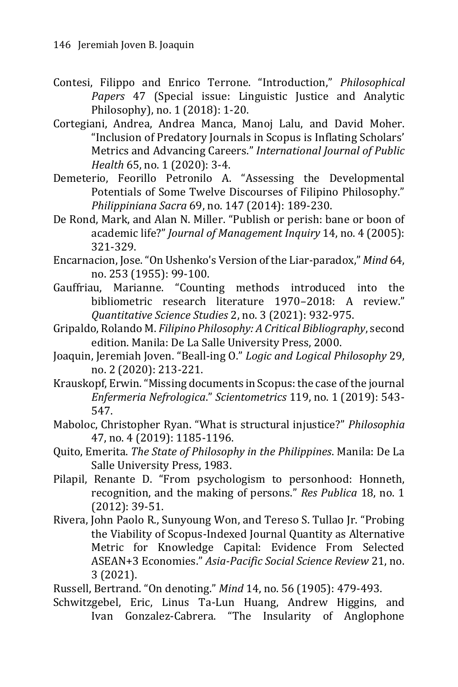- Contesi, Filippo and Enrico Terrone. "Introduction," *Philosophical Papers* 47 (Special issue: Linguistic Justice and Analytic Philosophy), no. 1 (2018): 1-20.
- Cortegiani, Andrea, Andrea Manca, Manoj Lalu, and David Moher. "Inclusion of Predatory Journals in Scopus is Inflating Scholars' Metrics and Advancing Careers." *International Journal of Public Health* 65, no. 1 (2020): 3-4.
- Demeterio, Feorillo Petronilo A. "Assessing the Developmental Potentials of Some Twelve Discourses of Filipino Philosophy." *Philippiniana Sacra* 69, no. 147 (2014): 189-230.
- De Rond, Mark, and Alan N. Miller. "Publish or perish: bane or boon of academic life?" *Journal of Management Inquiry* 14, no. 4 (2005): 321-329.
- Encarnacion, Jose."On Ushenko's Version of the Liar-paradox," *Mind* 64, no. 253 (1955): 99-100.
- Gauffriau, Marianne. "Counting methods introduced into the bibliometric research literature 1970–2018: A review." *Quantitative Science Studies* 2, no. 3 (2021): 932-975.
- Gripaldo, Rolando M. *Filipino Philosophy: A Critical Bibliography*, second edition. Manila: De La Salle University Press, 2000.
- Joaquin, Jeremiah Joven. "Beall-ing O." *Logic and Logical Philosophy* 29, no. 2 (2020): 213-221.
- Krauskopf, Erwin. "Missing documents in Scopus: the case of the journal *Enfermeria Nefrologica*." *Scientometrics* 119, no. 1 (2019): 543- 547.
- Maboloc, Christopher Ryan. "What is structural injustice?" *Philosophia* 47, no. 4 (2019): 1185-1196.
- Quito, Emerita. *The State of Philosophy in the Philippines*. Manila: De La Salle University Press, 1983.
- Pilapil, Renante D. "From psychologism to personhood: Honneth, recognition, and the making of persons." *Res Publica* 18, no. 1 (2012): 39-51.
- Rivera, John Paolo R., Sunyoung Won, and Tereso S. Tullao Jr. "Probing the Viability of Scopus-Indexed Journal Quantity as Alternative Metric for Knowledge Capital: Evidence From Selected ASEAN+3 Economies." *Asia-Pacific Social Science Review* 21, no. 3 (2021).

Russell, Bertrand. "On denoting." *Mind* 14, no. 56 (1905): 479-493.

Schwitzgebel, Eric, Linus Ta-Lun Huang, Andrew Higgins, and Ivan Gonzalez-Cabrera. "The Insularity of Anglophone